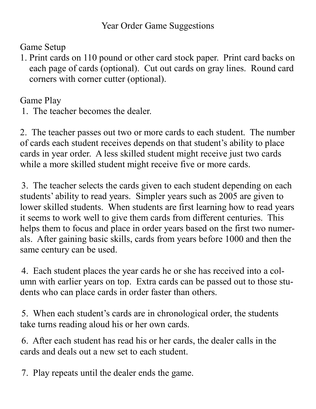Year Order Game Suggestions

Game Setup

1. Print cards on 110 pound or other card stock paper. Print card backs on each page of cards (optional). Cut out cards on gray lines. Round card corners with corner cutter (optional).

Game Play

1. The teacher becomes the dealer.

2. The teacher passes out two or more cards to each student. The number of cards each student receives depends on that student's ability to place cards in year order. A less skilled student might receive just two cards while a more skilled student might receive five or more cards.

3. The teacher selects the cards given to each student depending on each students' ability to read years. Simpler years such as 2005 are given to lower skilled students. When students are first learning how to read years it seems to work well to give them cards from different centuries. This helps them to focus and place in order years based on the first two numerals. After gaining basic skills, cards from years before 1000 and then the same century can be used.

4. Each student places the year cards he or she has received into a column with earlier years on top. Extra cards can be passed out to those students who can place cards in order faster than others.

5. When each student's cards are in chronological order, the students take turns reading aloud his or her own cards.

6. After each student has read his or her cards, the dealer calls in the cards and deals out a new set to each student.

7. Play repeats until the dealer ends the game.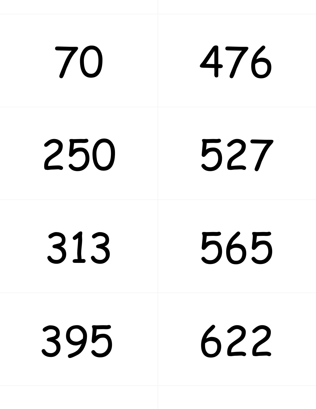| 70  | 476 |
|-----|-----|
| 250 | 527 |
| 313 | 565 |
| 395 | 622 |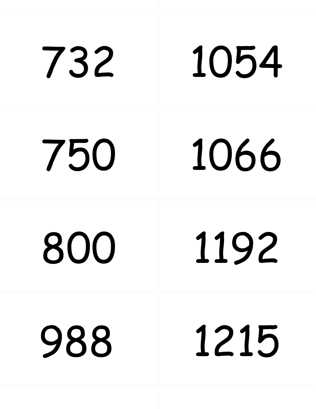| 732 | 1054 |
|-----|------|
| 750 | 1066 |
| 800 | 1192 |
| 988 | 1215 |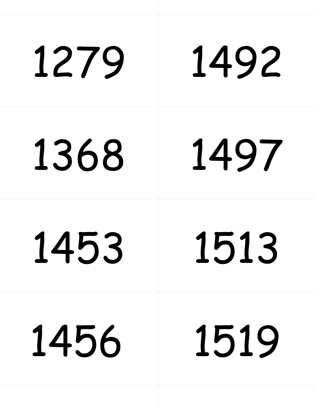####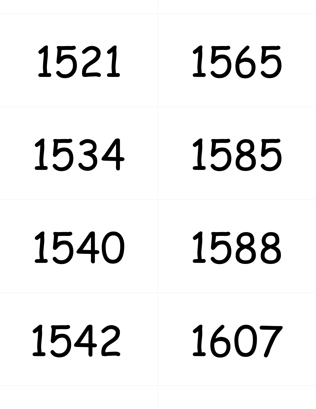#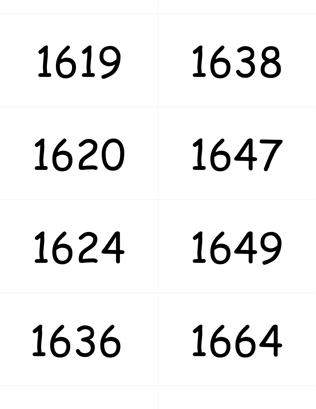#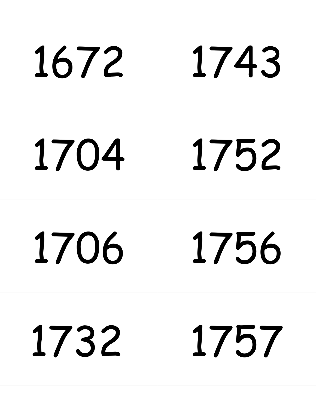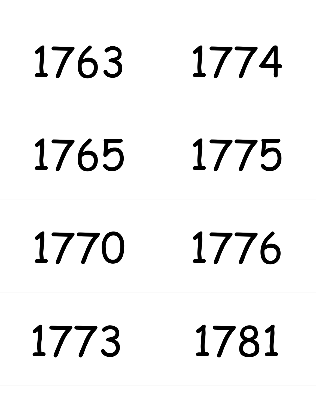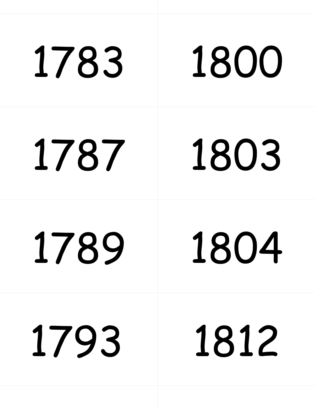##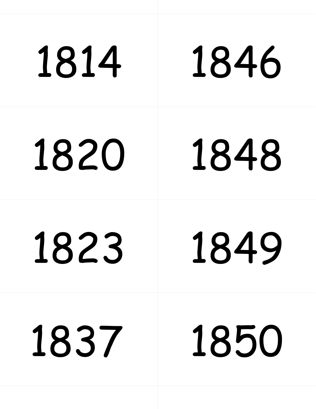####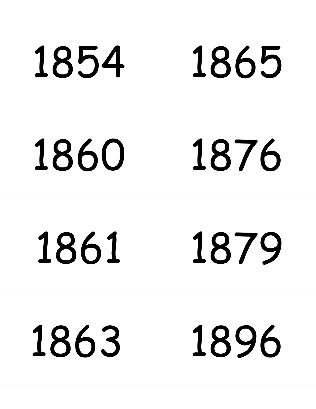##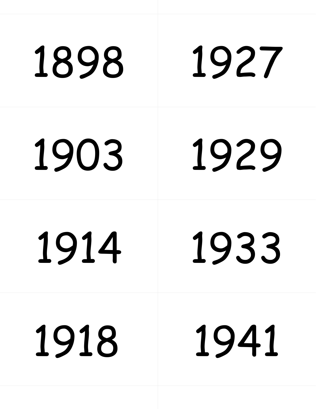#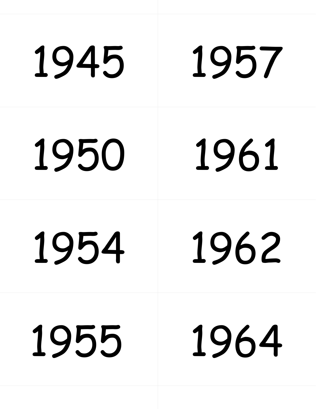#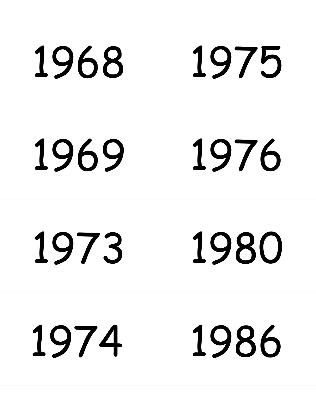#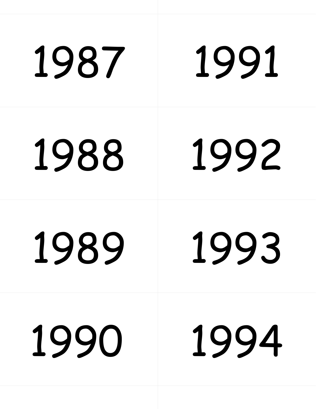##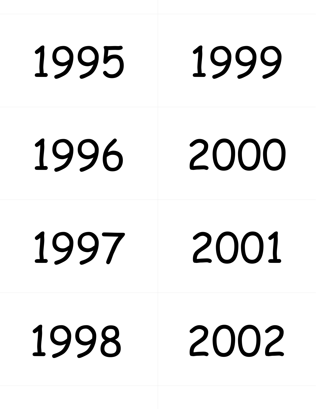###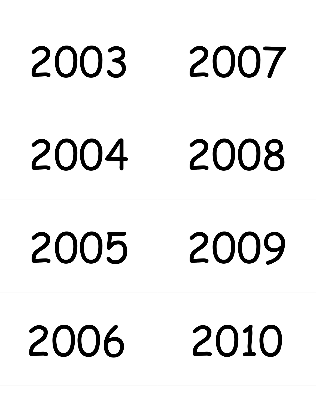##